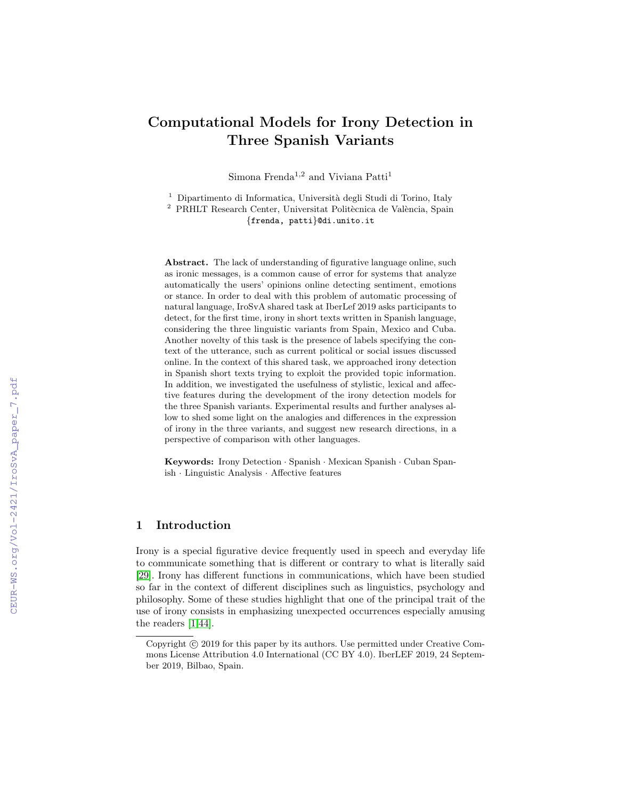# Computational Models for Irony Detection in Three Spanish Variants

Simona Frenda $^{1,2}$  and Viviana  $\mathrm{Patti}^1$ 

 $1$  Dipartimento di Informatica, Università degli Studi di Torino, Italy  $^2$  PRHLT Research Center, Universitat Politècnica de València, Spain

{frenda, patti}@di.unito.it

Abstract. The lack of understanding of figurative language online, such as ironic messages, is a common cause of error for systems that analyze automatically the users' opinions online detecting sentiment, emotions or stance. In order to deal with this problem of automatic processing of natural language, IroSvA shared task at IberLef 2019 asks participants to detect, for the first time, irony in short texts written in Spanish language, considering the three linguistic variants from Spain, Mexico and Cuba. Another novelty of this task is the presence of labels specifying the context of the utterance, such as current political or social issues discussed online. In the context of this shared task, we approached irony detection in Spanish short texts trying to exploit the provided topic information. In addition, we investigated the usefulness of stylistic, lexical and affective features during the development of the irony detection models for the three Spanish variants. Experimental results and further analyses allow to shed some light on the analogies and differences in the expression of irony in the three variants, and suggest new research directions, in a perspective of comparison with other languages.

Keywords: Irony Detection · Spanish · Mexican Spanish · Cuban Spanish · Linguistic Analysis · Affective features

## 1 Introduction

Irony is a special figurative device frequently used in speech and everyday life to communicate something that is different or contrary to what is literally said [\[29\]](#page--1-0). Irony has different functions in communications, which have been studied so far in the context of different disciplines such as linguistics, psychology and philosophy. Some of these studies highlight that one of the principal trait of the use of irony consists in emphasizing unexpected occurrences especially amusing the readers [\[1,](#page--1-1)[44\]](#page--1-2).

Copyright  $\odot$  2019 for this paper by its authors. Use permitted under Creative Commons License Attribution 4.0 International (CC BY 4.0). IberLEF 2019, 24 September 2019, Bilbao, Spain.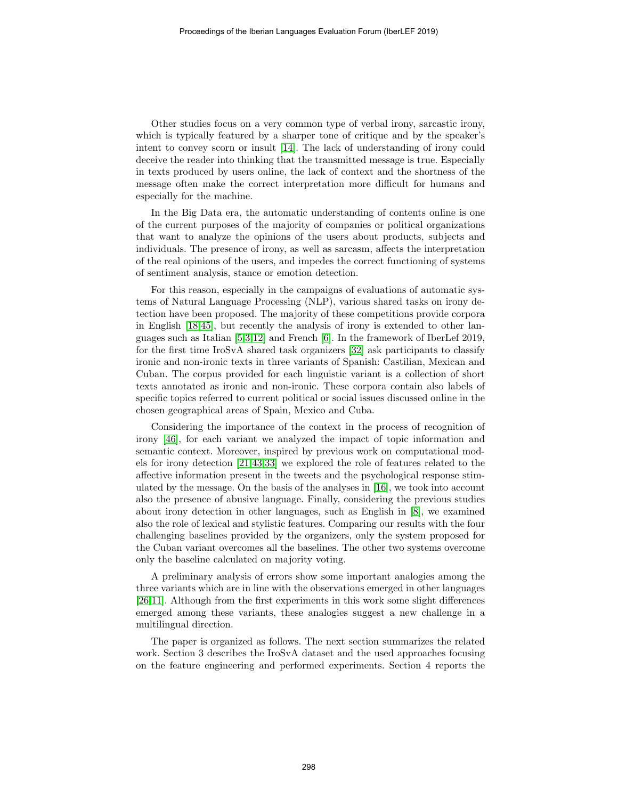Other studies focus on a very common type of verbal irony, sarcastic irony, which is typically featured by a sharper tone of critique and by the speaker's intent to convey scorn or insult [\[14\]](#page-9-0). The lack of understanding of irony could deceive the reader into thinking that the transmitted message is true. Especially in texts produced by users online, the lack of context and the shortness of the message often make the correct interpretation more difficult for humans and especially for the machine.

In the Big Data era, the automatic understanding of contents online is one of the current purposes of the majority of companies or political organizations that want to analyze the opinions of the users about products, subjects and individuals. The presence of irony, as well as sarcasm, affects the interpretation of the real opinions of the users, and impedes the correct functioning of systems of sentiment analysis, stance or emotion detection.

For this reason, especially in the campaigns of evaluations of automatic systems of Natural Language Processing (NLP), various shared tasks on irony detection have been proposed. The majority of these competitions provide corpora in English [\[18](#page-10-0)[,45\]](#page-11-0), but recently the analysis of irony is extended to other languages such as Italian [\[5](#page-9-1)[,3,](#page-9-2)[12\]](#page-9-3) and French [\[6\]](#page-9-4). In the framework of IberLef 2019, for the first time IroSvA shared task organizers [\[32\]](#page-10-1) ask participants to classify ironic and non-ironic texts in three variants of Spanish: Castilian, Mexican and Cuban. The corpus provided for each linguistic variant is a collection of short texts annotated as ironic and non-ironic. These corpora contain also labels of specific topics referred to current political or social issues discussed online in the chosen geographical areas of Spain, Mexico and Cuba.

Considering the importance of the context in the process of recognition of irony [\[46\]](#page-11-1), for each variant we analyzed the impact of topic information and semantic context. Moreover, inspired by previous work on computational models for irony detection [\[21,](#page-10-2)[43,](#page-11-2)[33\]](#page-11-3) we explored the role of features related to the affective information present in the tweets and the psychological response stimulated by the message. On the basis of the analyses in [\[16\]](#page-9-5), we took into account also the presence of abusive language. Finally, considering the previous studies about irony detection in other languages, such as English in [\[8\]](#page-9-6), we examined also the role of lexical and stylistic features. Comparing our results with the four challenging baselines provided by the organizers, only the system proposed for the Cuban variant overcomes all the baselines. The other two systems overcome only the baseline calculated on majority voting.

A preliminary analysis of errors show some important analogies among the three variants which are in line with the observations emerged in other languages [\[26](#page-10-3)[,11\]](#page-9-7). Although from the first experiments in this work some slight differences emerged among these variants, these analogies suggest a new challenge in a multilingual direction.

The paper is organized as follows. The next section summarizes the related work. Section 3 describes the IroSvA dataset and the used approaches focusing on the feature engineering and performed experiments. Section 4 reports the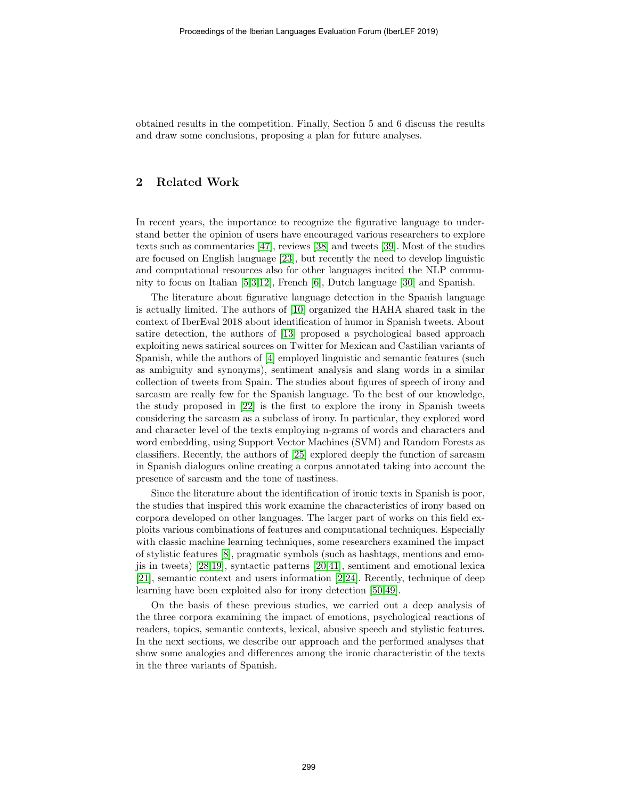obtained results in the competition. Finally, Section 5 and 6 discuss the results and draw some conclusions, proposing a plan for future analyses.

# 2 Related Work

In recent years, the importance to recognize the figurative language to understand better the opinion of users have encouraged various researchers to explore texts such as commentaries [\[47\]](#page-11-4), reviews [\[38\]](#page-11-5) and tweets [\[39\]](#page-11-6). Most of the studies are focused on English language [\[23\]](#page-10-4), but recently the need to develop linguistic and computational resources also for other languages incited the NLP community to focus on Italian [\[5](#page-9-1)[,3,](#page-9-2)[12\]](#page-9-3), French [\[6\]](#page-9-4), Dutch language [\[30\]](#page-10-5) and Spanish.

The literature about figurative language detection in the Spanish language is actually limited. The authors of [\[10\]](#page-9-8) organized the HAHA shared task in the context of IberEval 2018 about identification of humor in Spanish tweets. About satire detection, the authors of [\[13\]](#page-9-9) proposed a psychological based approach exploiting news satirical sources on Twitter for Mexican and Castilian variants of Spanish, while the authors of [\[4\]](#page-9-10) employed linguistic and semantic features (such as ambiguity and synonyms), sentiment analysis and slang words in a similar collection of tweets from Spain. The studies about figures of speech of irony and sarcasm are really few for the Spanish language. To the best of our knowledge, the study proposed in [\[22\]](#page-10-6) is the first to explore the irony in Spanish tweets considering the sarcasm as a subclass of irony. In particular, they explored word and character level of the texts employing n-grams of words and characters and word embedding, using Support Vector Machines (SVM) and Random Forests as classifiers. Recently, the authors of [\[25\]](#page-10-7) explored deeply the function of sarcasm in Spanish dialogues online creating a corpus annotated taking into account the presence of sarcasm and the tone of nastiness.

Since the literature about the identification of ironic texts in Spanish is poor, the studies that inspired this work examine the characteristics of irony based on corpora developed on other languages. The larger part of works on this field exploits various combinations of features and computational techniques. Especially with classic machine learning techniques, some researchers examined the impact of stylistic features [\[8\]](#page-9-6), pragmatic symbols (such as hashtags, mentions and emojis in tweets) [\[28,](#page-10-8)[19\]](#page-10-9), syntactic patterns [\[20,](#page-10-10)[41\]](#page-11-7), sentiment and emotional lexica [\[21\]](#page-10-2), semantic context and users information [\[2,](#page-9-11)[24\]](#page-10-11). Recently, technique of deep learning have been exploited also for irony detection [\[50,](#page-12-0)[49\]](#page-12-1).

On the basis of these previous studies, we carried out a deep analysis of the three corpora examining the impact of emotions, psychological reactions of readers, topics, semantic contexts, lexical, abusive speech and stylistic features. In the next sections, we describe our approach and the performed analyses that show some analogies and differences among the ironic characteristic of the texts in the three variants of Spanish.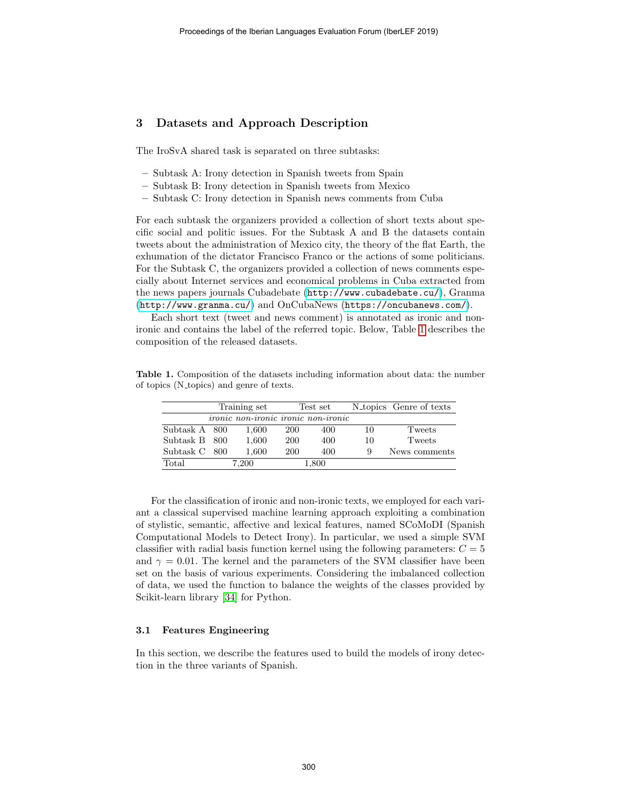# 3 Datasets and Approach Description

The IroSvA shared task is separated on three subtasks:

- Subtask A: Irony detection in Spanish tweets from Spain
- Subtask B: Irony detection in Spanish tweets from Mexico
- Subtask C: Irony detection in Spanish news comments from Cuba

For each subtask the organizers provided a collection of short texts about specific social and politic issues. For the Subtask A and B the datasets contain tweets about the administration of Mexico city, the theory of the flat Earth, the exhumation of the dictator Francisco Franco or the actions of some politicians. For the Subtask C, the organizers provided a collection of news comments especially about Internet services and economical problems in Cuba extracted from the news papers journals Cubadebate (<http://www.cubadebate.cu/>), Granma (<http://www.granma.cu/>) and OnCubaNews (<https://oncubanews.com/>).

Each short text (tweet and news comment) is annotated as ironic and nonironic and contains the label of the referred topic. Below, Table [1](#page-3-0) describes the composition of the released datasets.

Table 1. Composition of the datasets including information about data: the number of topics (N topics) and genre of texts.

<span id="page-3-0"></span>

|               | Training set |                                            | Test set   |     |    | N <sub>topics</sub> Genre of texts |  |
|---------------|--------------|--------------------------------------------|------------|-----|----|------------------------------------|--|
|               |              | <i>ironic non-ironic ironic non-ironic</i> |            |     |    |                                    |  |
| Subtask A 800 |              | 1,600                                      | <b>200</b> | 400 | 10 | Tweets                             |  |
| Subtask B 800 |              | 1,600                                      | <b>200</b> | 400 | 10 | Tweets                             |  |
| Subtask C 800 |              | 1,600                                      | <b>200</b> | 400 | 9  | News comments                      |  |
| Total         | 7.200        |                                            | $1.800\,$  |     |    |                                    |  |

For the classification of ironic and non-ironic texts, we employed for each variant a classical supervised machine learning approach exploiting a combination of stylistic, semantic, affective and lexical features, named SCoMoDI (Spanish Computational Models to Detect Irony). In particular, we used a simple SVM classifier with radial basis function kernel using the following parameters:  $C = 5$ and  $\gamma = 0.01$ . The kernel and the parameters of the SVM classifier have been set on the basis of various experiments. Considering the imbalanced collection of data, we used the function to balance the weights of the classes provided by Scikit-learn library [\[34\]](#page-11-8) for Python.

#### 3.1 Features Engineering

In this section, we describe the features used to build the models of irony detection in the three variants of Spanish.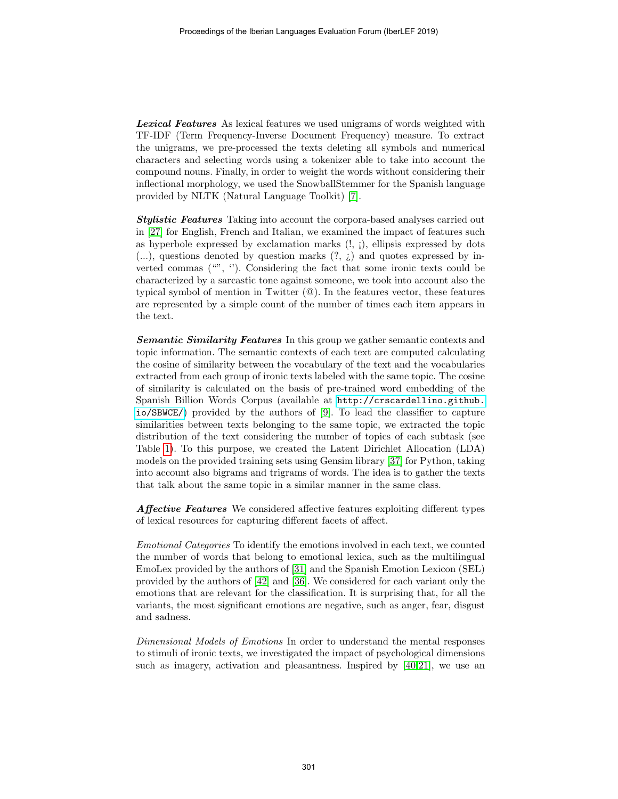**Lexical Features** As lexical features we used unigrams of words weighted with TF-IDF (Term Frequency-Inverse Document Frequency) measure. To extract the unigrams, we pre-processed the texts deleting all symbols and numerical characters and selecting words using a tokenizer able to take into account the compound nouns. Finally, in order to weight the words without considering their inflectional morphology, we used the SnowballStemmer for the Spanish language provided by NLTK (Natural Language Toolkit) [\[7\]](#page-9-12).

Stylistic Features Taking into account the corpora-based analyses carried out in [\[27\]](#page-10-12) for English, French and Italian, we examined the impact of features such as hyperbole expressed by exclamation marks  $(l, j)$ , ellipsis expressed by dots  $(...)$ , questions denoted by question marks  $(?, \underline{\iota})$  and quotes expressed by inverted commas  $(\mathbf{w}, \mathbf{v})$ . Considering the fact that some ironic texts could be characterized by a sarcastic tone against someone, we took into account also the typical symbol of mention in Twitter (@). In the features vector, these features are represented by a simple count of the number of times each item appears in the text.

**Semantic Similarity Features** In this group we gather semantic contexts and topic information. The semantic contexts of each text are computed calculating the cosine of similarity between the vocabulary of the text and the vocabularies extracted from each group of ironic texts labeled with the same topic. The cosine of similarity is calculated on the basis of pre-trained word embedding of the Spanish Billion Words Corpus (available at [http://crscardellino.github.](http://crscardellino.github.io/SBWCE/) [io/SBWCE/](http://crscardellino.github.io/SBWCE/)) provided by the authors of [\[9\]](#page-9-13). To lead the classifier to capture similarities between texts belonging to the same topic, we extracted the topic distribution of the text considering the number of topics of each subtask (see Table [1\)](#page-3-0). To this purpose, we created the Latent Dirichlet Allocation (LDA) models on the provided training sets using Gensim library [\[37\]](#page-11-9) for Python, taking into account also bigrams and trigrams of words. The idea is to gather the texts that talk about the same topic in a similar manner in the same class.

Affective Features We considered affective features exploiting different types of lexical resources for capturing different facets of affect.

Emotional Categories To identify the emotions involved in each text, we counted the number of words that belong to emotional lexica, such as the multilingual EmoLex provided by the authors of [\[31\]](#page-10-13) and the Spanish Emotion Lexicon (SEL) provided by the authors of [\[42\]](#page-11-10) and [\[36\]](#page-11-11). We considered for each variant only the emotions that are relevant for the classification. It is surprising that, for all the variants, the most significant emotions are negative, such as anger, fear, disgust and sadness.

Dimensional Models of Emotions In order to understand the mental responses to stimuli of ironic texts, we investigated the impact of psychological dimensions such as imagery, activation and pleasantness. Inspired by [\[40,](#page-11-12)[21\]](#page-10-2), we use an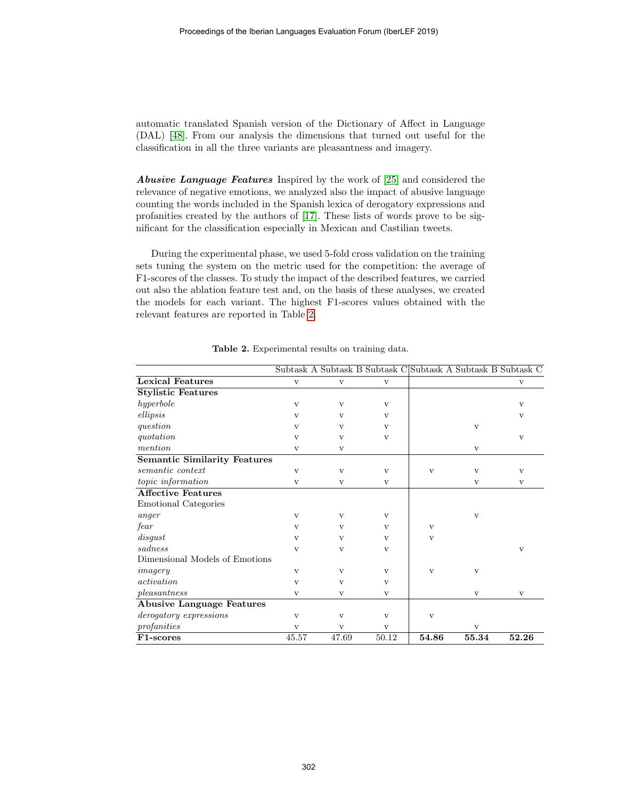automatic translated Spanish version of the Dictionary of Affect in Language (DAL) [\[48\]](#page-12-2). From our analysis the dimensions that turned out useful for the classification in all the three variants are pleasantness and imagery.

Abusive Language Features Inspired by the work of [\[25\]](#page-10-7) and considered the relevance of negative emotions, we analyzed also the impact of abusive language counting the words included in the Spanish lexica of derogatory expressions and profanities created by the authors of [\[17\]](#page-10-14). These lists of words prove to be significant for the classification especially in Mexican and Castilian tweets.

During the experimental phase, we used 5-fold cross validation on the training sets tuning the system on the metric used for the competition: the average of F1-scores of the classes. To study the impact of the described features, we carried out also the ablation feature test and, on the basis of these analyses, we created the models for each variant. The highest F1-scores values obtained with the relevant features are reported in Table [2.](#page-5-0)

|                                     |              |              |              |              |              | Subtask A Subtask B Subtask C Subtask A Subtask B Subtask C |
|-------------------------------------|--------------|--------------|--------------|--------------|--------------|-------------------------------------------------------------|
| <b>Lexical Features</b>             | $\mathbf{V}$ | $\mathbf{V}$ | $\mathbf{V}$ |              |              | $\rm{V}$                                                    |
| <b>Stylistic Features</b>           |              |              |              |              |              |                                                             |
| hyperbole                           | $\mathbf{V}$ | V            | $\mathbf{V}$ |              |              | V                                                           |
| ellipsis                            | $\mathbf{V}$ | $\mathbf{V}$ | $\mathbf{V}$ |              |              | V                                                           |
| question                            | $\mathbf{V}$ | $\mathbf{V}$ | $\mathbf{V}$ |              | $\mathbf{V}$ |                                                             |
| quotation                           | $\mathbf{V}$ | $\mathbf{V}$ | $\mathbf{V}$ |              |              | $\mathbf{V}$                                                |
| mention                             | V            | V            |              |              | $\mathbf{V}$ |                                                             |
| <b>Semantic Similarity Features</b> |              |              |              |              |              |                                                             |
| semantic context                    | $\mathbf{V}$ | $\mathbf{V}$ | $\mathbf{V}$ | $\mathbf{V}$ | $\mathbf{V}$ | $\mathbf{V}$                                                |
| topic information                   | $\mathbf{V}$ | $\mathbf{V}$ | $\mathbf{V}$ |              | $\mathbf{V}$ | $\mathbf{V}$                                                |
| <b>Affective Features</b>           |              |              |              |              |              |                                                             |
| Emotional Categories                |              |              |              |              |              |                                                             |
| anger                               | $\mathbf{V}$ | $\mathbf{V}$ | $\mathbf{V}$ |              | $\mathbf{V}$ |                                                             |
| fear                                | $\mathbf{V}$ | V            | $\mathbf{V}$ | $\mathbf{V}$ |              |                                                             |
| disgust                             | $\mathbf{v}$ | $\mathbf{v}$ | $\mathbf{V}$ | $\mathbf{V}$ |              |                                                             |
| sadness                             | $\mathbf{V}$ | V            | $\mathbf{V}$ |              |              | $\mathbf{V}$                                                |
| Dimensional Models of Emotions      |              |              |              |              |              |                                                             |
| imagery                             | $\mathbf{V}$ | $\mathbf{V}$ | $\mathbf{V}$ | $\mathbf{V}$ | $\mathbf{V}$ |                                                             |
| activation                          | $\mathbf{V}$ | $\mathbf{V}$ | $\mathbf{V}$ |              |              |                                                             |
| pleasantness                        | V            | $\rm{V}$     | V            |              | $\rm{V}$     | $\rm{V}$                                                    |
| <b>Abusive Language Features</b>    |              |              |              |              |              |                                                             |
| derogatory expressions              | $\mathbf{V}$ | $\mathbf{V}$ | $\mathbf{V}$ | $\mathbf{V}$ |              |                                                             |
| profanities                         | $\mathbf{V}$ | $\mathbf{V}$ | $\mathbf{V}$ |              | $\mathbf{V}$ |                                                             |
| F1-scores                           | 45.57        | 47.69        | 50.12        | 54.86        | 55.34        | 52.26                                                       |

<span id="page-5-0"></span>Table 2. Experimental results on training data.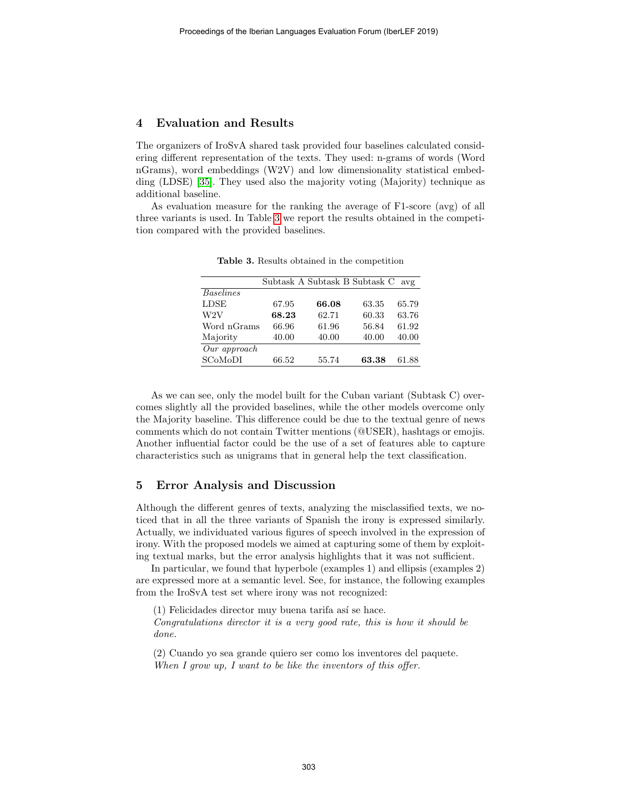# 4 Evaluation and Results

The organizers of IroSvA shared task provided four baselines calculated considering different representation of the texts. They used: n-grams of words (Word nGrams), word embeddings (W2V) and low dimensionality statistical embedding (LDSE) [\[35\]](#page-11-13). They used also the majority voting (Majority) technique as additional baseline.

As evaluation measure for the ranking the average of F1-score (avg) of all three variants is used. In Table [3](#page-6-0) we report the results obtained in the competition compared with the provided baselines.

|                  |       | Subtask A Subtask B Subtask C |       | avg   |
|------------------|-------|-------------------------------|-------|-------|
| <b>Baselines</b> |       |                               |       |       |
| <b>LDSE</b>      | 67.95 | 66.08                         | 63.35 | 65.79 |
| W2V              | 68.23 | 62.71                         | 60.33 | 63.76 |
| Word nGrams      | 66.96 | 61.96                         | 56.84 | 61.92 |
| Majority         | 40.00 | 40.00                         | 40.00 | 40.00 |
| $Our\ approach$  |       |                               |       |       |
| SCoMoDI          | 66.52 | 55.74                         | 63.38 | 61.88 |

<span id="page-6-0"></span>Table 3. Results obtained in the competition

As we can see, only the model built for the Cuban variant (Subtask C) overcomes slightly all the provided baselines, while the other models overcome only the Majority baseline. This difference could be due to the textual genre of news comments which do not contain Twitter mentions (@USER), hashtags or emojis. Another influential factor could be the use of a set of features able to capture characteristics such as unigrams that in general help the text classification.

# 5 Error Analysis and Discussion

Although the different genres of texts, analyzing the misclassified texts, we noticed that in all the three variants of Spanish the irony is expressed similarly. Actually, we individuated various figures of speech involved in the expression of irony. With the proposed models we aimed at capturing some of them by exploiting textual marks, but the error analysis highlights that it was not sufficient.

In particular, we found that hyperbole (examples 1) and ellipsis (examples 2) are expressed more at a semantic level. See, for instance, the following examples from the IroSvA test set where irony was not recognized:

 $(1)$  Felicidades director muy buena tarifa así se hace. Congratulations director it is a very good rate, this is how it should be done.

(2) Cuando yo sea grande quiero ser como los inventores del paquete. When I grow up, I want to be like the inventors of this offer.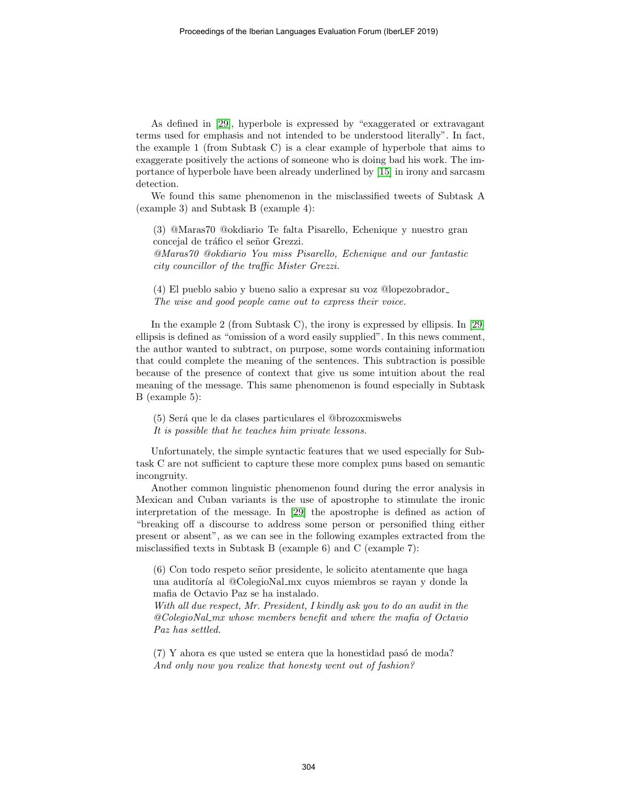As defined in [\[29\]](#page-10-15), hyperbole is expressed by "exaggerated or extravagant terms used for emphasis and not intended to be understood literally". In fact, the example 1 (from Subtask C) is a clear example of hyperbole that aims to exaggerate positively the actions of someone who is doing bad his work. The importance of hyperbole have been already underlined by [\[15\]](#page-9-14) in irony and sarcasm detection.

We found this same phenomenon in the misclassified tweets of Subtask A (example 3) and Subtask B (example 4):

(3) @Maras70 @okdiario Te falta Pisarello, Echenique y nuestro gran concejal de tráfico el señor Grezzi. @Maras70 @okdiario You miss Pisarello, Echenique and our fantastic city councillor of the traffic Mister Grezzi.

(4) El pueblo sabio y bueno salio a expresar su voz @lopezobrador The wise and good people came out to express their voice.

In the example 2 (from Subtask C), the irony is expressed by ellipsis. In [\[29\]](#page-10-15) ellipsis is defined as "omission of a word easily supplied". In this news comment, the author wanted to subtract, on purpose, some words containing information that could complete the meaning of the sentences. This subtraction is possible because of the presence of context that give us some intuition about the real meaning of the message. This same phenomenon is found especially in Subtask B (example 5):

(5) Ser´a que le da clases particulares el @brozoxmiswebs

It is possible that he teaches him private lessons.

Unfortunately, the simple syntactic features that we used especially for Subtask C are not sufficient to capture these more complex puns based on semantic incongruity.

Another common linguistic phenomenon found during the error analysis in Mexican and Cuban variants is the use of apostrophe to stimulate the ironic interpretation of the message. In [\[29\]](#page-10-15) the apostrophe is defined as action of "breaking off a discourse to address some person or personified thing either present or absent", as we can see in the following examples extracted from the misclassified texts in Subtask B (example 6) and C (example 7):

(6) Con todo respeto se˜nor presidente, le solicito atentamente que haga una auditoría al @ColegioNal\_mx cuyos miembros se rayan y donde la mafia de Octavio Paz se ha instalado.

With all due respect, Mr. President, I kindly ask you to do an audit in the @ColegioNal mx whose members benefit and where the mafia of Octavio Paz has settled.

 $(7)$  Y ahora es que usted se entera que la honestidad pasó de moda? And only now you realize that honesty went out of fashion?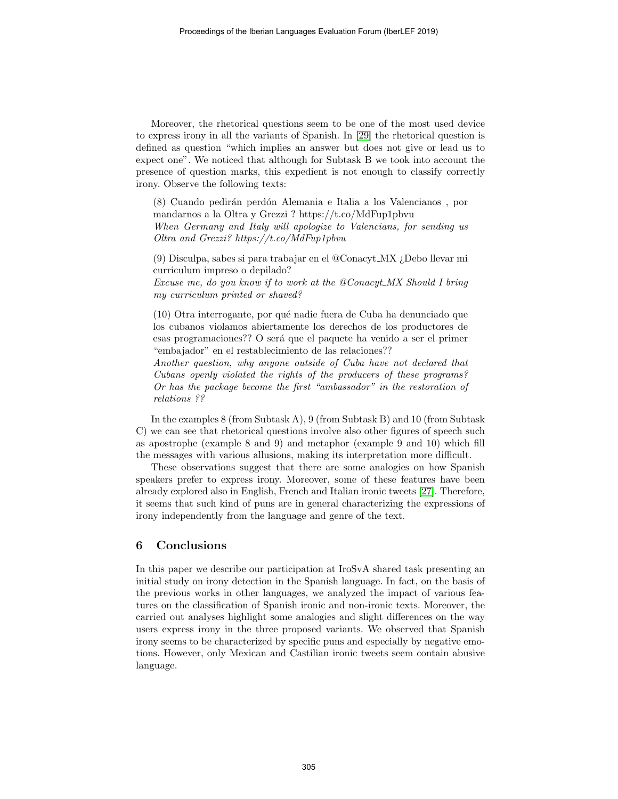Moreover, the rhetorical questions seem to be one of the most used device to express irony in all the variants of Spanish. In [\[29\]](#page-10-15) the rhetorical question is defined as question "which implies an answer but does not give or lead us to expect one". We noticed that although for Subtask B we took into account the presence of question marks, this expedient is not enough to classify correctly irony. Observe the following texts:

(8) Cuando pedir´an perd´on Alemania e Italia a los Valencianos , por mandarnos a la Oltra y Grezzi ? https://t.co/MdFup1pbvu

When Germany and Italy will apologize to Valencians, for sending us Oltra and Grezzi? https://t.co/MdFup1pbvu

(9) Disculpa, sabes si para trabajar en el @Conacyt MX ¿Debo llevar mi curriculum impreso o depilado?

Excuse me, do you know if to work at the @Conacyt MX Should I bring my curriculum printed or shaved?

(10) Otra interrogante, por qu´e nadie fuera de Cuba ha denunciado que los cubanos violamos abiertamente los derechos de los productores de esas programaciones?? O será que el paquete ha venido a ser el primer "embajador" en el restablecimiento de las relaciones??

Another question, why anyone outside of Cuba have not declared that Cubans openly violated the rights of the producers of these programs? Or has the package become the first "ambassador" in the restoration of relations ??

In the examples 8 (from Subtask A), 9 (from Subtask B) and 10 (from Subtask C) we can see that rhetorical questions involve also other figures of speech such as apostrophe (example 8 and 9) and metaphor (example 9 and 10) which fill the messages with various allusions, making its interpretation more difficult.

These observations suggest that there are some analogies on how Spanish speakers prefer to express irony. Moreover, some of these features have been already explored also in English, French and Italian ironic tweets [\[27\]](#page-10-12). Therefore, it seems that such kind of puns are in general characterizing the expressions of irony independently from the language and genre of the text.

### 6 Conclusions

In this paper we describe our participation at IroSvA shared task presenting an initial study on irony detection in the Spanish language. In fact, on the basis of the previous works in other languages, we analyzed the impact of various features on the classification of Spanish ironic and non-ironic texts. Moreover, the carried out analyses highlight some analogies and slight differences on the way users express irony in the three proposed variants. We observed that Spanish irony seems to be characterized by specific puns and especially by negative emotions. However, only Mexican and Castilian ironic tweets seem contain abusive language.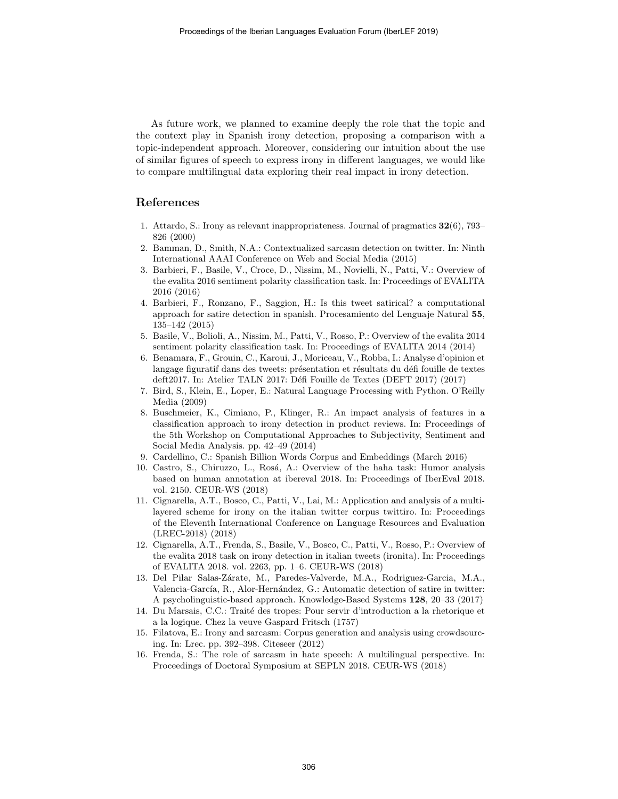As future work, we planned to examine deeply the role that the topic and the context play in Spanish irony detection, proposing a comparison with a topic-independent approach. Moreover, considering our intuition about the use of similar figures of speech to express irony in different languages, we would like to compare multilingual data exploring their real impact in irony detection.

# References

- 1. Attardo, S.: Irony as relevant inappropriateness. Journal of pragmatics 32(6), 793– 826 (2000)
- <span id="page-9-11"></span>2. Bamman, D., Smith, N.A.: Contextualized sarcasm detection on twitter. In: Ninth International AAAI Conference on Web and Social Media (2015)
- <span id="page-9-2"></span>3. Barbieri, F., Basile, V., Croce, D., Nissim, M., Novielli, N., Patti, V.: Overview of the evalita 2016 sentiment polarity classification task. In: Proceedings of EVALITA 2016 (2016)
- <span id="page-9-10"></span>4. Barbieri, F., Ronzano, F., Saggion, H.: Is this tweet satirical? a computational approach for satire detection in spanish. Procesamiento del Lenguaje Natural 55, 135–142 (2015)
- <span id="page-9-1"></span>5. Basile, V., Bolioli, A., Nissim, M., Patti, V., Rosso, P.: Overview of the evalita 2014 sentiment polarity classification task. In: Proceedings of EVALITA 2014 (2014)
- <span id="page-9-4"></span>6. Benamara, F., Grouin, C., Karoui, J., Moriceau, V., Robba, I.: Analyse d'opinion et langage figuratif dans des tweets: présentation et résultats du défi fouille de textes deft2017. In: Atelier TALN 2017: Défi Fouille de Textes (DEFT 2017) (2017)
- <span id="page-9-12"></span>7. Bird, S., Klein, E., Loper, E.: Natural Language Processing with Python. O'Reilly Media (2009)
- <span id="page-9-6"></span>8. Buschmeier, K., Cimiano, P., Klinger, R.: An impact analysis of features in a classification approach to irony detection in product reviews. In: Proceedings of the 5th Workshop on Computational Approaches to Subjectivity, Sentiment and Social Media Analysis. pp. 42–49 (2014)
- <span id="page-9-13"></span>9. Cardellino, C.: Spanish Billion Words Corpus and Embeddings (March 2016)
- <span id="page-9-8"></span>10. Castro, S., Chiruzzo, L., Ros´a, A.: Overview of the haha task: Humor analysis based on human annotation at ibereval 2018. In: Proceedings of IberEval 2018. vol. 2150. CEUR-WS (2018)
- <span id="page-9-7"></span>11. Cignarella, A.T., Bosco, C., Patti, V., Lai, M.: Application and analysis of a multilayered scheme for irony on the italian twitter corpus twittiro. In: Proceedings of the Eleventh International Conference on Language Resources and Evaluation (LREC-2018) (2018)
- <span id="page-9-3"></span>12. Cignarella, A.T., Frenda, S., Basile, V., Bosco, C., Patti, V., Rosso, P.: Overview of the evalita 2018 task on irony detection in italian tweets (ironita). In: Proceedings of EVALITA 2018. vol. 2263, pp. 1–6. CEUR-WS (2018)
- <span id="page-9-9"></span>13. Del Pilar Salas-Z´arate, M., Paredes-Valverde, M.A., Rodriguez-Garcia, M.A., Valencia-García, R., Alor-Hernández, G.: Automatic detection of satire in twitter: A psycholinguistic-based approach. Knowledge-Based Systems 128, 20–33 (2017)
- <span id="page-9-0"></span>14. Du Marsais, C.C.: Traité des tropes: Pour servir d'introduction a la rhetorique et a la logique. Chez la veuve Gaspard Fritsch (1757)
- <span id="page-9-14"></span>15. Filatova, E.: Irony and sarcasm: Corpus generation and analysis using crowdsourcing. In: Lrec. pp. 392–398. Citeseer (2012)
- <span id="page-9-5"></span>16. Frenda, S.: The role of sarcasm in hate speech: A multilingual perspective. In: Proceedings of Doctoral Symposium at SEPLN 2018. CEUR-WS (2018)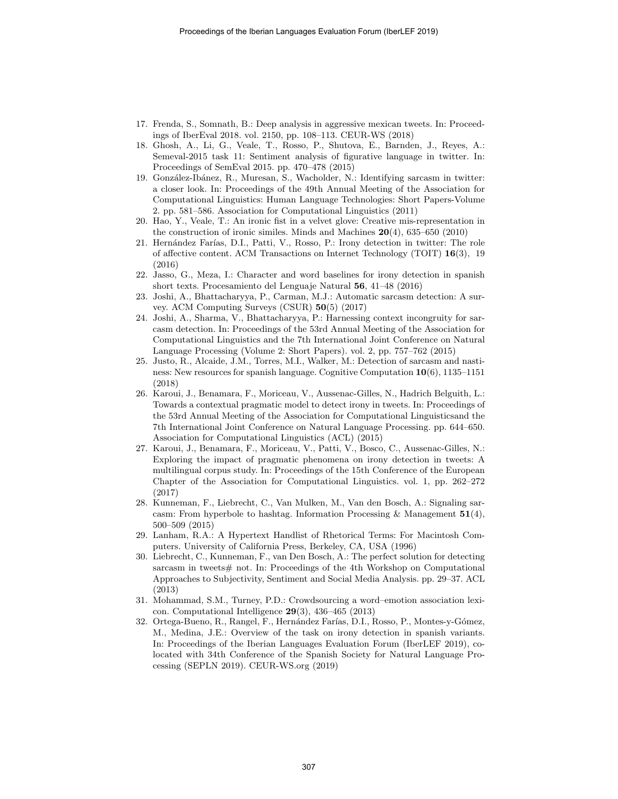- <span id="page-10-14"></span>17. Frenda, S., Somnath, B.: Deep analysis in aggressive mexican tweets. In: Proceedings of IberEval 2018. vol. 2150, pp. 108–113. CEUR-WS (2018)
- <span id="page-10-0"></span>18. Ghosh, A., Li, G., Veale, T., Rosso, P., Shutova, E., Barnden, J., Reyes, A.: Semeval-2015 task 11: Sentiment analysis of figurative language in twitter. In: Proceedings of SemEval 2015. pp. 470–478 (2015)
- <span id="page-10-9"></span>19. González-Ibánez, R., Muresan, S., Wacholder, N.: Identifying sarcasm in twitter: a closer look. In: Proceedings of the 49th Annual Meeting of the Association for Computational Linguistics: Human Language Technologies: Short Papers-Volume 2. pp. 581–586. Association for Computational Linguistics (2011)
- <span id="page-10-10"></span>20. Hao, Y., Veale, T.: An ironic fist in a velvet glove: Creative mis-representation in the construction of ironic similes. Minds and Machines  $20(4)$ , 635–650 (2010)
- <span id="page-10-2"></span>21. Hernández Farías, D.I., Patti, V., Rosso, P.: Irony detection in twitter: The role of affective content. ACM Transactions on Internet Technology (TOIT) 16(3), 19 (2016)
- <span id="page-10-6"></span>22. Jasso, G., Meza, I.: Character and word baselines for irony detection in spanish short texts. Procesamiento del Lenguaje Natural 56, 41–48 (2016)
- <span id="page-10-4"></span>23. Joshi, A., Bhattacharyya, P., Carman, M.J.: Automatic sarcasm detection: A survey. ACM Computing Surveys (CSUR) 50(5) (2017)
- <span id="page-10-11"></span>24. Joshi, A., Sharma, V., Bhattacharyya, P.: Harnessing context incongruity for sarcasm detection. In: Proceedings of the 53rd Annual Meeting of the Association for Computational Linguistics and the 7th International Joint Conference on Natural Language Processing (Volume 2: Short Papers). vol. 2, pp. 757–762 (2015)
- <span id="page-10-7"></span>25. Justo, R., Alcaide, J.M., Torres, M.I., Walker, M.: Detection of sarcasm and nastiness: New resources for spanish language. Cognitive Computation 10(6), 1135–1151 (2018)
- <span id="page-10-3"></span>26. Karoui, J., Benamara, F., Moriceau, V., Aussenac-Gilles, N., Hadrich Belguith, L.: Towards a contextual pragmatic model to detect irony in tweets. In: Proceedings of the 53rd Annual Meeting of the Association for Computational Linguisticsand the 7th International Joint Conference on Natural Language Processing. pp. 644–650. Association for Computational Linguistics (ACL) (2015)
- <span id="page-10-12"></span>27. Karoui, J., Benamara, F., Moriceau, V., Patti, V., Bosco, C., Aussenac-Gilles, N.: Exploring the impact of pragmatic phenomena on irony detection in tweets: A multilingual corpus study. In: Proceedings of the 15th Conference of the European Chapter of the Association for Computational Linguistics. vol. 1, pp. 262–272 (2017)
- <span id="page-10-8"></span>28. Kunneman, F., Liebrecht, C., Van Mulken, M., Van den Bosch, A.: Signaling sarcasm: From hyperbole to hashtag. Information Processing & Management  $51(4)$ , 500–509 (2015)
- <span id="page-10-15"></span>29. Lanham, R.A.: A Hypertext Handlist of Rhetorical Terms: For Macintosh Computers. University of California Press, Berkeley, CA, USA (1996)
- <span id="page-10-5"></span>30. Liebrecht, C., Kunneman, F., van Den Bosch, A.: The perfect solution for detecting sarcasm in tweets# not. In: Proceedings of the 4th Workshop on Computational Approaches to Subjectivity, Sentiment and Social Media Analysis. pp. 29–37. ACL (2013)
- <span id="page-10-13"></span>31. Mohammad, S.M., Turney, P.D.: Crowdsourcing a word–emotion association lexicon. Computational Intelligence 29(3), 436–465 (2013)
- <span id="page-10-1"></span>32. Ortega-Bueno, R., Rangel, F., Hernández Farías, D.I., Rosso, P., Montes-y-Gómez, M., Medina, J.E.: Overview of the task on irony detection in spanish variants. In: Proceedings of the Iberian Languages Evaluation Forum (IberLEF 2019), colocated with 34th Conference of the Spanish Society for Natural Language Processing (SEPLN 2019). CEUR-WS.org (2019)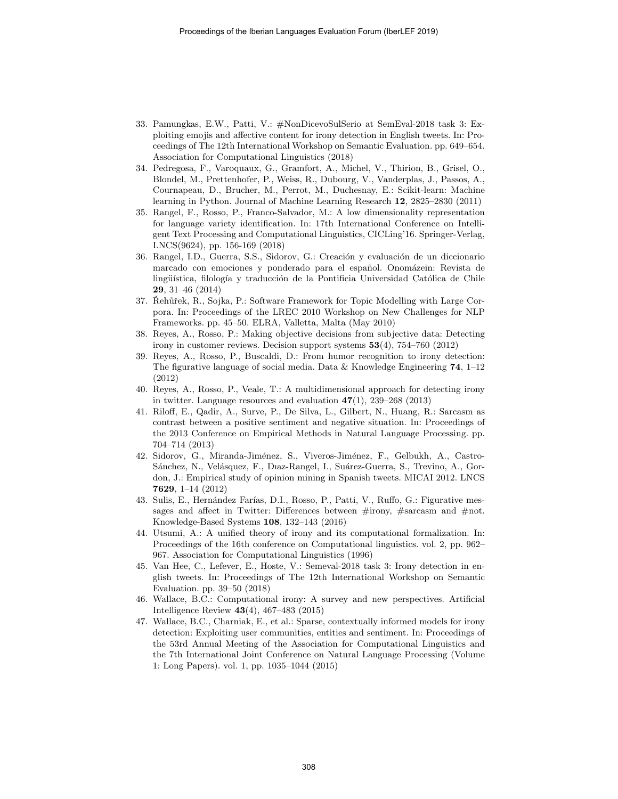- <span id="page-11-3"></span>33. Pamungkas, E.W., Patti, V.: #NonDicevoSulSerio at SemEval-2018 task 3: Exploiting emojis and affective content for irony detection in English tweets. In: Proceedings of The 12th International Workshop on Semantic Evaluation. pp. 649–654. Association for Computational Linguistics (2018)
- <span id="page-11-8"></span>34. Pedregosa, F., Varoquaux, G., Gramfort, A., Michel, V., Thirion, B., Grisel, O., Blondel, M., Prettenhofer, P., Weiss, R., Dubourg, V., Vanderplas, J., Passos, A., Cournapeau, D., Brucher, M., Perrot, M., Duchesnay, E.: Scikit-learn: Machine learning in Python. Journal of Machine Learning Research 12, 2825–2830 (2011)
- <span id="page-11-13"></span>35. Rangel, F., Rosso, P., Franco-Salvador, M.: A low dimensionality representation for language variety identification. In: 17th International Conference on Intelligent Text Processing and Computational Linguistics, CICLing'16. Springer-Verlag, LNCS(9624), pp. 156-169 (2018)
- <span id="page-11-11"></span>36. Rangel, I.D., Guerra, S.S., Sidorov, G.: Creación y evaluación de un diccionario marcado con emociones y ponderado para el español. Onomázein: Revista de lingüística, filología y traducción de la Pontificia Universidad Católica de Chile 29, 31–46 (2014)
- <span id="page-11-9"></span>37. Rehůřek, R., Sojka, P.: Software Framework for Topic Modelling with Large Corpora. In: Proceedings of the LREC 2010 Workshop on New Challenges for NLP Frameworks. pp. 45–50. ELRA, Valletta, Malta (May 2010)
- <span id="page-11-5"></span>38. Reyes, A., Rosso, P.: Making objective decisions from subjective data: Detecting irony in customer reviews. Decision support systems 53(4), 754–760 (2012)
- <span id="page-11-6"></span>39. Reyes, A., Rosso, P., Buscaldi, D.: From humor recognition to irony detection: The figurative language of social media. Data & Knowledge Engineering 74,  $1-12$ (2012)
- <span id="page-11-12"></span>40. Reyes, A., Rosso, P., Veale, T.: A multidimensional approach for detecting irony in twitter. Language resources and evaluation  $47(1)$ ,  $239-268$  (2013)
- <span id="page-11-7"></span>41. Riloff, E., Qadir, A., Surve, P., De Silva, L., Gilbert, N., Huang, R.: Sarcasm as contrast between a positive sentiment and negative situation. In: Proceedings of the 2013 Conference on Empirical Methods in Natural Language Processing. pp. 704–714 (2013)
- <span id="page-11-10"></span>42. Sidorov, G., Miranda-Jiménez, S., Viveros-Jiménez, F., Gelbukh, A., Castro-Sánchez, N., Velásquez, F., Dıaz-Rangel, I., Suárez-Guerra, S., Trevino, A., Gordon, J.: Empirical study of opinion mining in Spanish tweets. MICAI 2012. LNCS 7629, 1–14 (2012)
- <span id="page-11-2"></span>43. Sulis, E., Hernández Farías, D.I., Rosso, P., Patti, V., Ruffo, G.: Figurative messages and affect in Twitter: Differences between #irony, #sarcasm and #not. Knowledge-Based Systems 108, 132–143 (2016)
- 44. Utsumi, A.: A unified theory of irony and its computational formalization. In: Proceedings of the 16th conference on Computational linguistics. vol. 2, pp. 962– 967. Association for Computational Linguistics (1996)
- <span id="page-11-0"></span>45. Van Hee, C., Lefever, E., Hoste, V.: Semeval-2018 task 3: Irony detection in english tweets. In: Proceedings of The 12th International Workshop on Semantic Evaluation. pp. 39–50 (2018)
- <span id="page-11-1"></span>46. Wallace, B.C.: Computational irony: A survey and new perspectives. Artificial Intelligence Review 43(4), 467–483 (2015)
- <span id="page-11-4"></span>47. Wallace, B.C., Charniak, E., et al.: Sparse, contextually informed models for irony detection: Exploiting user communities, entities and sentiment. In: Proceedings of the 53rd Annual Meeting of the Association for Computational Linguistics and the 7th International Joint Conference on Natural Language Processing (Volume 1: Long Papers). vol. 1, pp. 1035–1044 (2015)